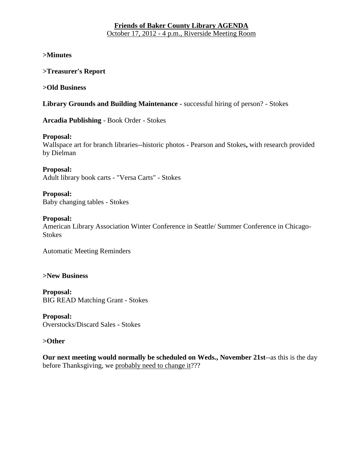## **Friends of Baker County Library AGENDA** October 17, 2012 - 4 p.m., Riverside Meeting Room

**>Minutes**

**>Treasurer's Report**

**>Old Business**

**Library Grounds and Building Maintenance -** successful hiring of person? - Stokes

**Arcadia Publishing** - Book Order - Stokes

### **Proposal:**

Wallspace art for branch libraries--historic photos - Pearson and Stokes**,** with research provided by Dielman

**Proposal:**  Adult library book carts - "Versa Carts" - Stokes

**Proposal:**  Baby changing tables - Stokes

### **Proposal:**

American Library Association Winter Conference in Seattle/ Summer Conference in Chicago-Stokes

Automatic Meeting Reminders

**>New Business**

**Proposal:** BIG READ Matching Grant - Stokes

**Proposal:** Overstocks/Discard Sales **-** Stokes

### **>Other**

**Our next meeting would normally be scheduled on Weds., November 21st**--as this is the day before Thanksgiving, we probably need to change it???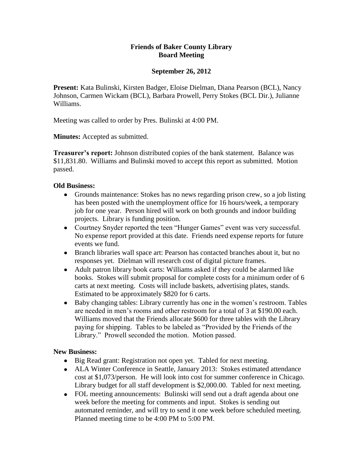## **Friends of Baker County Library Board Meeting**

### **September 26, 2012**

**Present:** Kata Bulinski, Kirsten Badger, Eloise Dielman, Diana Pearson (BCL), Nancy Johnson, Carmen Wickam (BCL), Barbara Prowell, Perry Stokes (BCL Dir.), Julianne Williams.

Meeting was called to order by Pres. Bulinski at 4:00 PM.

**Minutes:** Accepted as submitted.

**Treasurer's report:** Johnson distributed copies of the bank statement. Balance was \$11,831.80. Williams and Bulinski moved to accept this report as submitted. Motion passed.

### **Old Business:**

- Grounds maintenance: Stokes has no news regarding prison crew, so a job listing has been posted with the unemployment office for 16 hours/week, a temporary job for one year. Person hired will work on both grounds and indoor building projects. Library is funding position.
- Courtney Snyder reported the teen "Hunger Games" event was very successful. No expense report provided at this date. Friends need expense reports for future events we fund.
- Branch libraries wall space art: Pearson has contacted branches about it, but no responses yet. Dielman will research cost of digital picture frames.
- Adult patron library book carts: Williams asked if they could be alarmed like books. Stokes will submit proposal for complete costs for a minimum order of 6 carts at next meeting. Costs will include baskets, advertising plates, stands. Estimated to be approximately \$820 for 6 carts.
- Baby changing tables: Library currently has one in the women's restroom. Tables are needed in men's rooms and other restroom for a total of 3 at \$190.00 each. Williams moved that the Friends allocate \$600 for three tables with the Library paying for shipping. Tables to be labeled as "Provided by the Friends of the Library." Prowell seconded the motion. Motion passed.

## **New Business:**

- Big Read grant: Registration not open yet. Tabled for next meeting.
- ALA Winter Conference in Seattle, January 2013: Stokes estimated attendance cost at \$1,073/person. He will look into cost for summer conference in Chicago. Library budget for all staff development is \$2,000.00. Tabled for next meeting.
- FOL meeting announcements: Bulinski will send out a draft agenda about one week before the meeting for comments and input. Stokes is sending out automated reminder, and will try to send it one week before scheduled meeting. Planned meeting time to be 4:00 PM to 5:00 PM.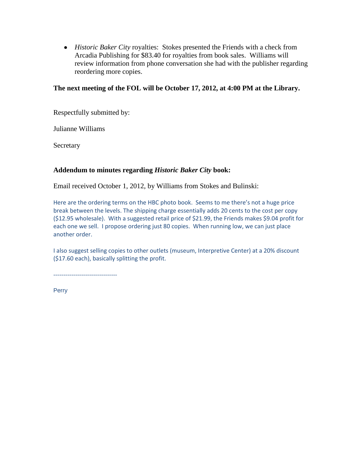*Historic Baker City* royalties: Stokes presented the Friends with a check from Arcadia Publishing for \$83.40 for royalties from book sales. Williams will review information from phone conversation she had with the publisher regarding reordering more copies.

### **The next meeting of the FOL will be October 17, 2012, at 4:00 PM at the Library.**

Respectfully submitted by:

Julianne Williams

**Secretary** 

### **Addendum to minutes regarding** *Historic Baker City* **book:**

Email received October 1, 2012, by Williams from Stokes and Bulinski:

Here are the ordering terms on the HBC photo book. Seems to me there's not a huge price break between the levels. The shipping charge essentially adds 20 cents to the cost per copy (\$12.95 wholesale). With a suggested retail price of \$21.99, the Friends makes \$9.04 profit for each one we sell. I propose ordering just 80 copies. When running low, we can just place another order.

I also suggest selling copies to other outlets (museum, Interpretive Center) at a 20% discount (\$17.60 each), basically splitting the profit.

--------------------------------

**Perry**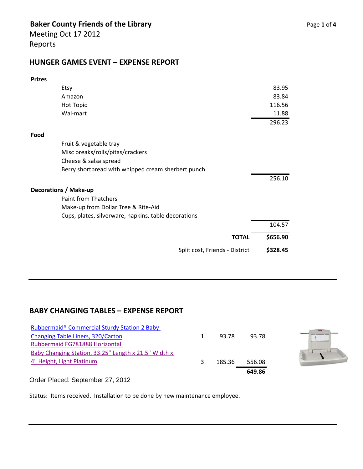# **Baker County Friends of the Library Page 1** of 4

Meeting Oct 17 2012 Reports

## **HUNGER GAMES EVENT – EXPENSE REPORT**

| <b>Prizes</b>                                        |          |
|------------------------------------------------------|----------|
| Etsy                                                 | 83.95    |
| Amazon                                               | 83.84    |
| <b>Hot Topic</b>                                     | 116.56   |
| Wal-mart                                             | 11.88    |
|                                                      | 296.23   |
| Food                                                 |          |
| Fruit & vegetable tray                               |          |
| Misc breaks/rolls/pitas/crackers                     |          |
| Cheese & salsa spread                                |          |
| Berry shortbread with whipped cream sherbert punch   |          |
|                                                      | 256.10   |
| <b>Decorations / Make-up</b>                         |          |
| <b>Paint from Thatchers</b>                          |          |
| Make-up from Dollar Tree & Rite-Aid                  |          |
| Cups, plates, silverware, napkins, table decorations |          |
|                                                      | 104.57   |
| <b>TOTAL</b>                                         | \$656.90 |
| Split cost, Friends - District                       | \$328.45 |

# **BABY CHANGING TABLES – EXPENSE REPORT**

| 4" Height, Light Platinum                                           | 185.36 | 556.08<br>649.86 |  |
|---------------------------------------------------------------------|--------|------------------|--|
| Baby Changing Station, 33.25" Length x 21.5" Width x                |        |                  |  |
| Changing Table Liners, 320/Carton<br>Rubbermaid FG781888 Horizontal | 93.78  | 93.78            |  |
| Rubbermaid® Commercial Sturdy Station 2 Baby                        |        |                  |  |



Order Placed: September 27, 2012

Status: Items received. Installation to be done by new maintenance employee.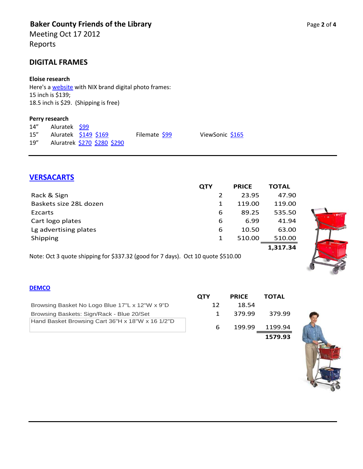# **Baker County Friends of the Library Page 2** of 4

Meeting Oct 17 2012 Reports

## **DIGITAL FRAMES**

### **Eloise research**

Here's a **website** with NIX brand digital photo frames: 15 inch is \$139; 18.5 inch is \$29. (Shipping is free)

#### **Perry research**

| 14'' | Aluratek \$99 |                             |               |
|------|---------------|-----------------------------|---------------|
| 15'' |               | Aluratek \$149 \$169        | Filemate \$99 |
| 19'' |               | Aluratrek \$270 \$280 \$290 |               |

## **[VERSACARTS](http://www.versacart.com/ezcart.php)**

|                        | <b>QTY</b> | <b>PRICE</b> | <b>TOTAL</b> |
|------------------------|------------|--------------|--------------|
| Rack & Sign            |            | 23.95        | 47.90        |
| Baskets size 28L dozen | 1          | 119.00       | 119.00       |
| Ezcarts                | 6          | 89.25        | 535.50       |
| Cart logo plates       | 6          | 6.99         | 41.94        |
| Lg advertising plates  | 6          | 10.50        | 63.00        |
| Shipping               | 1          | 510.00       | 510.00       |
|                        |            |              | 1,317.34     |

ViewSonic [\\$165](http://www.newegg.com/Product/Product.aspx?Item=N82E16882597049)

Note: Oct 3 quote shipping for \$337.32 (good for 7 days). Oct 10 quote \$510.00

### **[DEMCO](http://www.demco.com/CGI-BIN/LANSAWEB?PROCFUN+LWDCWEB23+LWDC336+PRD+ENG+FUNCPARMS+ZZWSESSID(A0200):16042699516307092842+ZZWNAVPAG(A0100):NEWFRTX+ZZWBTRKID(A0120):PSK0000+DATESEQ(A0140):1016112162317)**

|                                                  | <b>OTY</b>   | <b>PRICE</b> | ΤΟΤΑL   |
|--------------------------------------------------|--------------|--------------|---------|
| Browsing Basket No Logo Blue 17"L x 12"W x 9"D   | 12           | 18.54        |         |
| Browsing Baskets: Sign/Rack - Blue 20/Set        | $\mathbf{1}$ | 379.99       | 379.99  |
| Hand Basket Browsing Cart 36"H x 18"W x 16 1/2"D | 6            | 199.99       | 1199.94 |
|                                                  |              |              | 1579.93 |



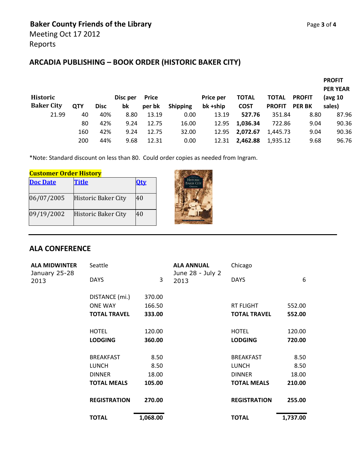# **ARCADIA PUBLISHING – BOOK ORDER (HISTORIC BAKER CITY)**

|                                      |            |             |                |                        |                 |                              |              |                               |                                | <b>PROFIT</b><br><b>PER YEAR</b> |
|--------------------------------------|------------|-------------|----------------|------------------------|-----------------|------------------------------|--------------|-------------------------------|--------------------------------|----------------------------------|
| <b>Historic</b><br><b>Baker City</b> | <b>QTY</b> | <b>Disc</b> | Disc per<br>bk | <b>Price</b><br>per bk |                 | <b>Price per</b><br>bk +ship | <b>TOTAL</b> | <b>TOTAL</b><br><b>PROFIT</b> | <b>PROFIT</b><br><b>PER BK</b> | (avg $10$<br>sales)              |
|                                      |            |             |                |                        | <b>Shipping</b> |                              | <b>COST</b>  |                               |                                |                                  |
| 21.99                                | 40         | 40%         | 8.80           | 13.19                  | 0.00            | 13.19                        | 527.76       | 351.84                        | 8.80                           | 87.96                            |
|                                      | 80         | 42%         | 9.24           | 12.75                  | 16.00           | 12.95                        | 1,036.34     | 722.86                        | 9.04                           | 90.36                            |
|                                      | 160        | 42%         | 9.24           | 12.75                  | 32.00           | 12.95                        | 2,072.67     | 1.445.73                      | 9.04                           | 90.36                            |
|                                      | 200        | 44%         | 9.68           | 12.31                  | 0.00            | 12.31                        | 2,462.88     | 1,935.12                      | 9.68                           | 96.76                            |

\*Note: Standard discount on less than 80. Could order copies as needed from Ingram.

| <b>Customer Order History</b> |                     |     |  |  |  |
|-------------------------------|---------------------|-----|--|--|--|
| <b>Doc Date</b>               | <b>Title</b>        | 0tv |  |  |  |
|                               |                     |     |  |  |  |
| 06/07/2005                    | Historic Baker City | 40  |  |  |  |
| 09/19/2002                    | Historic Baker City | 40  |  |  |  |



## **ALA CONFERENCE**

| <b>ALA MIDWINTER</b>  | Seattle             |          | <b>ALA ANNUAL</b>        | Chicago             |          |  |
|-----------------------|---------------------|----------|--------------------------|---------------------|----------|--|
| January 25-28<br>2013 | <b>DAYS</b>         | 3        | June 28 - July 2<br>2013 | <b>DAYS</b>         | 6        |  |
|                       | DISTANCE (mi.)      | 370.00   |                          |                     |          |  |
|                       | <b>ONE WAY</b>      | 166.50   |                          | <b>RT FLIGHT</b>    | 552.00   |  |
|                       | <b>TOTAL TRAVEL</b> | 333.00   |                          | <b>TOTAL TRAVEL</b> | 552.00   |  |
|                       | <b>HOTEL</b>        | 120.00   |                          | <b>HOTEL</b>        | 120.00   |  |
|                       | <b>LODGING</b>      | 360.00   |                          | <b>LODGING</b>      | 720.00   |  |
|                       | <b>BREAKFAST</b>    | 8.50     |                          | <b>BREAKFAST</b>    | 8.50     |  |
|                       | <b>LUNCH</b>        | 8.50     |                          | <b>LUNCH</b>        | 8.50     |  |
|                       | <b>DINNER</b>       | 18.00    |                          | <b>DINNER</b>       | 18.00    |  |
|                       | <b>TOTAL MEALS</b>  | 105.00   |                          | <b>TOTAL MEALS</b>  | 210.00   |  |
|                       | <b>REGISTRATION</b> | 270.00   |                          | <b>REGISTRATION</b> | 255.00   |  |
|                       | <b>TOTAL</b>        | 1,068.00 |                          | <b>TOTAL</b>        | 1,737.00 |  |